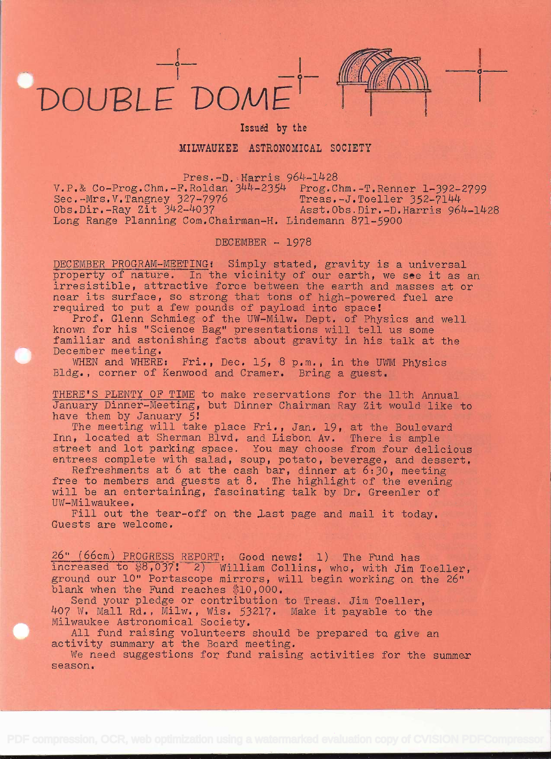## DOUBLEDOME



**in the company's** 

## Issued by the

## MILWAUKEE ASTRONOMICAL SOCIETY

Pres.-D. Harris 964-1428

v.P,& Co-Prog.Chm.-F.Roldan 3)4U-235U Prog.Chm.-T.IRenner 1-392-2799 ... - Mrs V. Tangney 327-7976 Treas -J. Toeller 352-7144<br>Sec.-Mrs V. Tangney 327-7976 Treas -J. Toeller 352-7144<br>Obs.Dir.-Ray Zit 342-4037 Asst.Obs.Dir.-D. Harris 964-1428 Obs.Dir.-Ray Zit 342-4037 (Asst.Obs.Dir.-D.Harris 964-1428)<br>Long Range Planning Com.Chairman-H. Lindemann 871-5900

DECEMBER - 1978

DECEMBER PROGRAM-MEETING: Simply stated, gravity is a universal<br>property of nature. In the vicinity of our earth, we see it as an irresistible, attractive force between the earth and masses at or near its surface, so strong that tons of high-powered fuel are required to put a few pounds of payload into space!<br>Prof. Glenn Schmieg of the UW-Milw. Dept. of Physics and well known for his "Science Bag" presentations wil

familiar and astonishing facts about gravity in his talk at the December meeting.

WHEN and WHERE: Fri., Dec. 15, 8 p.m., in the UWM Physics<br>Bldg., corner of Kenwood and Cramer. Bring a guest.

THERE'S PLENTY OF TIME to make reservations for the 11th Annual<br>January Dinner-Meeting, but Dinner Chairman Ray Zit would like to<br>have them by January 5:

The meeting will take place Fri., Jan. 19, at the Boulevard<br>Inn, located at Sherman Blvd. and Lisbon Av. There is ample<br>street and lot parking space. You may choose from four delicious

street and lot parking space. You may choose from four delicious<br>entrees complete with salad, soup, potato, beverage, and dessert.<br>Refreshments at 6 at the cash bar, dinner at 6:30, meeting<br>free to members and guests at 8.

Fill out the tear-off on the last page and mail it today.<br>Guests are welcome.

 $R = \frac{26 \text{°}}{66 \text{cm}}$  (66cm) PROGRESS REPORT: Good news: 1) The Fund has increased to  $88,037$ : 2) William Collins, who, with Jim Toeller, ground our 10" Portascope mirrors, will begin working on the 26" blank when the Fund reaches \$10,000.<br>Send your pledge or contribution to Treas. Jim Toeller.

407 W. Mall Rd., Milw., Wis. 53217. Make it payable to the<br>Milwaukee Astronomical Society.

All fund raising volunteers should be prepared to give an activity summary at the Board meeting.

We need suggestions for fund raising activities for the summer season.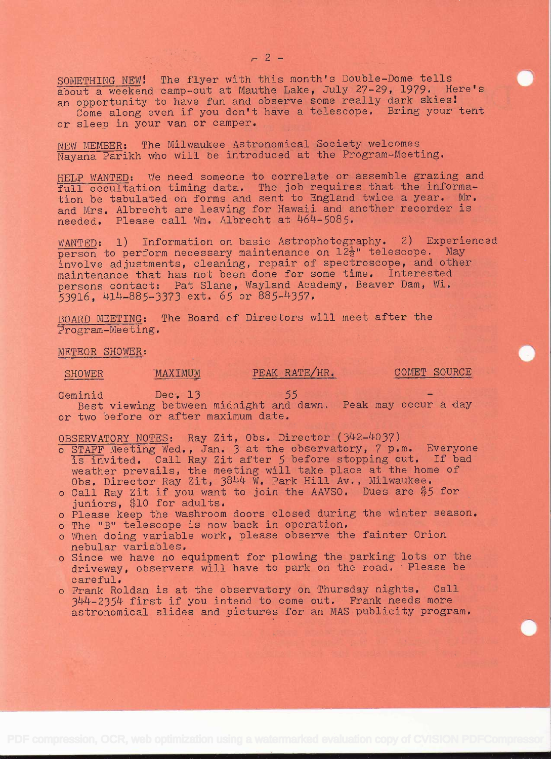$-2 -$ 

SOMETHING NEW! The flyer with this month's Double-Dome tells about a weekend camp-out at Mauthe Lake, July 27-29, 1979. Here's an opportunity to have fun and observe some really dark skies! Come along even if you don't have a telescope. Bring your tent or sleep in your van or camper.

NEW MEMBER: The Milwaukee Astronomical Society welcomes Nayana Parikh who will be introduced at the Program-Meeting.

HELP WANTED: We need someone to correlate or assemble grazing and full occultation timing data. The job requires that the information be tabulated on forms and sent to England twice a year. Mr. and Mrs. Albrecht are leaving for Hawaii and another recorder is needed. Please call Wm. Albrecht at 464-5085.

WANTED: 1) Information on basic Astrophotography. 2) Experienced person to perform necessary maintenance on  $12\frac{1}{2}$ " telescope. May involve adjustments, cleaning, repair of spectroscope, and other maintenance that has not been done for some time. Interested persons contact: Pat Slane, Wayland Academy, Beaver Dam, Wi. 53916, 414-885-3373 ext. 65 or 885-4357.

BOARD MEETING: The Board of Directors will meet after the Program-Meeting.

METEOR SHOWER:

## SHOWER MAXIMUM

PEAK RATE/HR. COMET SOURCE

Geminid Dec. 13 Best viewing between <sup>55</sup>- midnight and dawn. Peak may occur a day or two before or after maximum date.

OBSERVATORY NOTES: Ray Zit, Obs. Director (342-4037)

- <sup>o</sup>STAFF Meeting Wed., Jan. 3 at the observatory, 7 p.m. Everyone is invited. Call Ray Zit after 5 before stopping out, If bad weather prevails, the meeting will take place at the home of Obs, Director Ray Zit, 3844 W. Park Hill Av. , Milwaukee.
- o Call Ray Zit if you want to join the AAVSO. Dues are \$5 for juniors, \$10 for adults.
- o Please keep the washroom doors closed during the winter season.
- o The "B" telescope is now back in operation.
- <sup>o</sup>When doing variable work, please observe the fainter Orion nebular variables.
- o Since we have no equipment for plowing the parking lots or the driveway, observers will have to park on the road. Please be careful.
- <sup>o</sup>Frank Roldan is at the observatory on Thursday nights. Call 344-2354 first if' you intend to come out. Frank needs more astronomical slides and pictures for an MAS publicity program.